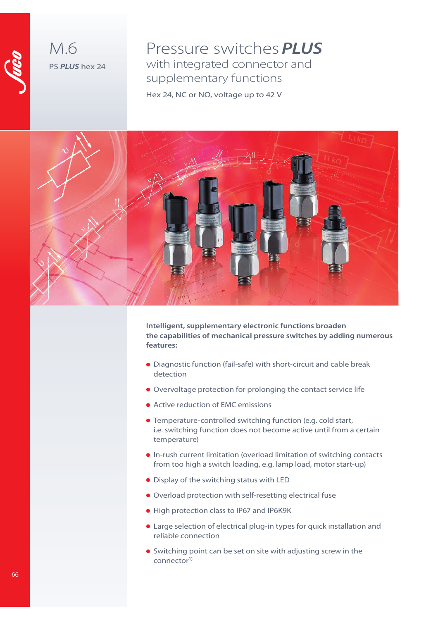

M.6 PS **PLUS** hex 24

Pressure switches **PLUS** with integrated connector and supplementary functions Hex 24, NC or NO, voltage up to 42 V



**Intelligent, supplementary electronic functions broaden the capabilities of mechanical pressure switches by adding numerous features:**

- Diagnostic function (fail-safe) with short-circuit and cable break detection
- Overvoltage protection for prolonging the contact service life
- Active reduction of EMC emissions
- Temperature-controlled switching function (e.g. cold start, i.e. switching function does not become active until from a certain temperature)
- In-rush current limitation (overload limitation of switching contacts from too high a switch loading, e.g. lamp load, motor start-up)
- **•** Display of the switching status with LED
- Overload protection with self-resetting electrical fuse
- High protection class to IP67 and IP6K9K
- Large selection of electrical plug-in types for quick installation and reliable connection
- Switching point can be set on site with adjusting screw in the connector<sup>1)</sup>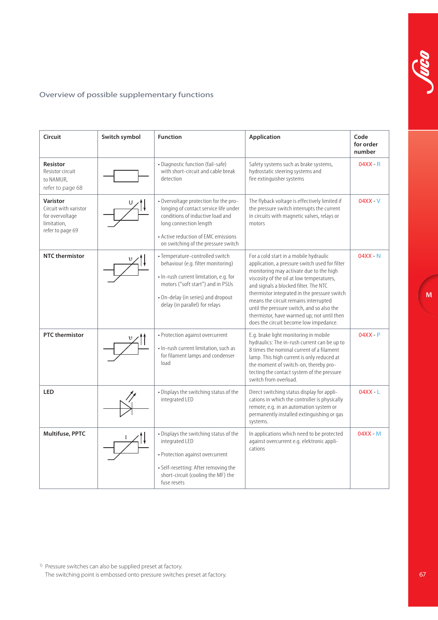## Overview of possible supplementary functions

| Circuit                                                                                 | Switch symbol | <b>Function</b>                                                                                                                                                                                                              | <b>Application</b>                                                                                                                                                                                                                                                                                                                                                                                                                                       | Code<br>for order<br>number |
|-----------------------------------------------------------------------------------------|---------------|------------------------------------------------------------------------------------------------------------------------------------------------------------------------------------------------------------------------------|----------------------------------------------------------------------------------------------------------------------------------------------------------------------------------------------------------------------------------------------------------------------------------------------------------------------------------------------------------------------------------------------------------------------------------------------------------|-----------------------------|
| <b>Resistor</b><br>Resistor circuit<br>to NAMUR,<br>refer to page 68                    |               | • Diagnostic function (fail-safe)<br>with short-circuit and cable break<br>detection                                                                                                                                         | Safety systems such as brake systems,<br>hydrostatic steering systems and<br>fire extinguisher systems                                                                                                                                                                                                                                                                                                                                                   | $04XX - R$                  |
| Varistor<br>Circuit with varistor<br>for overvoltage<br>limitation,<br>refer to page 69 |               | - Overvoltage protection for the pro-<br>longing of contact service life under<br>conditions of inductive load and<br>long connection length<br>• Active reduction of EMC emissions<br>on switching of the pressure switch   | The flyback voltage is effectively limited if<br>the pressure switch interrupts the current<br>in circuits with magnetic valves, relays or<br>motors                                                                                                                                                                                                                                                                                                     | $04XX - V$                  |
| <b>NTC</b> thermistor                                                                   |               | • Temperature-controlled switch<br>behaviour (e.g. filter monitoring)<br>. In-rush current limitation, e.g. for<br>motors ("soft start") and in PSUs<br>• On-delay (in series) and dropout<br>delay (in parallel) for relays | For a cold start in a mobile hydraulic<br>application, a pressure switch used for filter<br>monitoring may activate due to the high<br>viscosity of the oil at low temperatures,<br>and signals a blocked filter. The NTC<br>thermistor integrated in the pressure switch<br>means the circuit remains interrupted<br>until the pressure switch, and so also the<br>thermistor, have warmed up; not until then<br>does the circuit become low impedance. | $04XX - N$                  |
| <b>PTC</b> thermistor                                                                   |               | • Protection against overcurrent<br>• In-rush current limitation, such as<br>for filament lamps and condenser<br>load                                                                                                        | E.g. brake light monitoring in mobile<br>hydraulics: The in-rush current can be up to<br>8 times the nominal current of a filament<br>lamp. This high current is only reduced at<br>the moment of switch-on, thereby pro-<br>tecting the contact system of the pressure<br>switch from overload.                                                                                                                                                         | $04XX - P$                  |
| <b>LED</b>                                                                              |               | • Displays the switching status of the<br>integrated LED                                                                                                                                                                     | Direct switching status display for appli-<br>cations in which the controller is physically<br>remote; e.g. in an automation system or<br>permanently installed extinguishing or gas<br>systems.                                                                                                                                                                                                                                                         | $04XX - L$                  |
| Multifuse, PPTC                                                                         |               | • Displays the switching status of the<br>integrated LED<br>• Protection against overcurrent<br>• Self-resetting: After removing the<br>short-circuit (cooling the MF) the<br>fuse resets                                    | In applications which need to be protected<br>against overcurrent e.g. elektronic appli-<br>cations                                                                                                                                                                                                                                                                                                                                                      | $04XX - M$                  |

1) Pressure switches can also be supplied preset at factory. The switching point is embossed onto pressure switches preset at factory.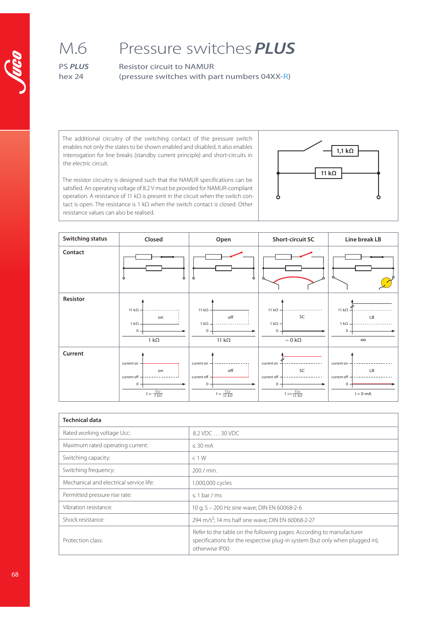# Pressure switches **PLUS**

PS **PLUS** hex 24

M.6

Resistor circuit to NAMUR (pressure switches with part numbers 04XX-R)

The additional circuitry of the switching contact of the pressure switch enables not only the states to be shown enabled and disabled, it also enables interrogation for line breaks (standby current principle) and short-circuits in the electric circuit.



The resistor circuitry is designed such that the NAMUR specifications can be satisfied. An operating voltage of 8.2 V must be provided for NAMUR-compliant operation. A resistance of 11 kΩ is present in the circuit when the switch contact is open. The resistance is 1 kΩ when the switch contact is closed. Other resistance values can also be realised.

| <b>Switching status</b> | Closed                                | Open                                   | <b>Short-circuit SC</b>        | Line break LB |
|-------------------------|---------------------------------------|----------------------------------------|--------------------------------|---------------|
| Contact                 | Ô<br>Ô                                | Ô<br>$\circ$                           |                                |               |
| Resistor                | 11 $k\Omega$                          | 11 $k\Omega$                           | 11 k $\Omega$ -                | 11 $k\Omega$  |
|                         | on                                    | off                                    | SC                             | LB            |
|                         | $1 k\Omega$ -                         | $1 k\Omega -$                          | $1 k\Omega -$                  | $1 k\Omega -$ |
|                         | 0                                     | $0 -$                                  | 0                              | $\mathbf 0$   |
|                         | $1 k\Omega$                           | 11 $k\Omega$                           | $\sim 0~\text{k}\Omega$        | $\infty$      |
| Current                 | current on                            | current on -                           | current on                     | current on    |
|                         | on                                    | off                                    | SC                             | LB            |
|                         | current off -                         | current off -                          | current off -                  | current off - |
|                         | 0                                     | $0 -$                                  | $\mathbf{0}$                   | $0 -$         |
|                         | $\mathsf{I} = \frac{Ucc}{1\,k\Omega}$ | $\mathsf{I} = \frac{Ucc}{11\ k\Omega}$ | $l >> \frac{Ucc}{11\ k\Omega}$ | $l = 0$ mA    |

| <b>Technical data</b>                   |                                                                                                                                                                         |  |  |
|-----------------------------------------|-------------------------------------------------------------------------------------------------------------------------------------------------------------------------|--|--|
| Rated working voltage Ucc:              | 8.2 VDC  30 VDC                                                                                                                                                         |  |  |
| Maximum rated operating current:        | $<$ 30 mA                                                                                                                                                               |  |  |
| Switching capacity:                     | < 1 W                                                                                                                                                                   |  |  |
| Switching frequency:                    | 200 / min.                                                                                                                                                              |  |  |
| Mechanical and electrical service life: | 1,000,000 cycles                                                                                                                                                        |  |  |
| Permitted pressure rise rate:           | $<$ 1 bar / ms                                                                                                                                                          |  |  |
| Vibration resistance:                   | 10 g; 5 - 200 Hz sine wave; DIN EN 60068-2-6                                                                                                                            |  |  |
| Shock resistance:                       | 294 m/s <sup>2</sup> ; 14 ms half sine wave; DIN EN 60068-2-27                                                                                                          |  |  |
| Protection class:                       | Refer to the table on the following pages: According to manufacturer<br>specifications for the respective plug-in system (but only when plugged in),<br>otherwise IP00. |  |  |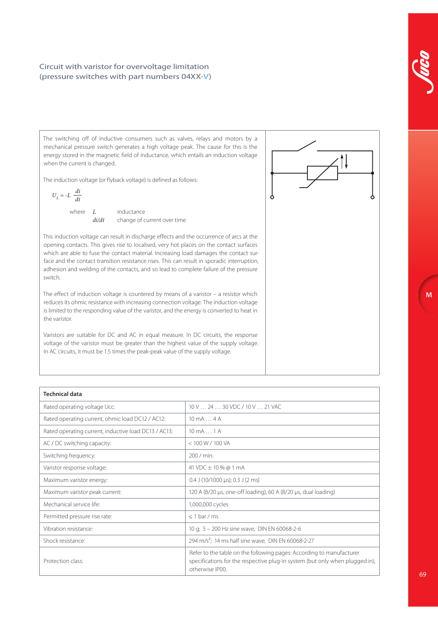### Circuit with varistor for overvoltage limitation (pressure switches with part numbers 04XX-V)

The switching off of inductive consumers such as valves, relays and motors by a mechanical pressure switch generates a high voltage peak. The cause for this is the energy stored in the magnetic field of inductance, which entails an induction voltage when the current is changed.

The induction voltage (or flyback voltage) is defined as follows:

$$
U_L = -L \;\;\frac{di}{dt}
$$

where  $L$  inductance  $di/dt$  change of current over time

This induction voltage can result in discharge effects and the occurrence of arcs at the opening contacts. This gives rise to localised, very hot places on the contact surfaces which are able to fuse the contact material. Increasing load damages the contact surface and the contact transition resistance rises. This can result in sporadic interruption, adhesion and welding of the contacts, and so lead to complete failure of the pressure switch.

The effect of induction voltage is countered by means of a varistor – a resistor which reduces its ohmic resistance with increasing connection voltage. The induction voltage is limited to the responding value of the varistor, and the energy is converted to heat in the varistor.

Varistors are suitable for DC and AC in equal measure. In DC circuits, the response voltage of the varistor must be greater than the highest value of the supply voltage. In AC circuits, it must be 1.5 times the peak-peak value of the supply voltage.

| $\uparrow\downarrow$ |  |
|----------------------|--|
|                      |  |
|                      |  |

| <b>Technical data</b>                                |                                                                                                                                                                         |  |
|------------------------------------------------------|-------------------------------------------------------------------------------------------------------------------------------------------------------------------------|--|
| Rated operating voltage Ucc:                         | 10 V  24  30 VDC / 10 V  21 VAC                                                                                                                                         |  |
| Rated operating current, ohmic load DC12 / AC12:     | $10 \text{ mA} \dots 4 \text{ A}$                                                                                                                                       |  |
| Rated operating current, inductive load DC13 / AC13: | $10 \text{ mA} \dots 1 \text{ A}$                                                                                                                                       |  |
| AC / DC switching capacity:                          | < 100 W / 100 VA                                                                                                                                                        |  |
| Switching frequency:                                 | 200 / min.                                                                                                                                                              |  |
| Varistor response voltage:                           | 41 VDC ± 10 % @ 1 mA                                                                                                                                                    |  |
| Maximum varistor energy:                             | $0.4$ J (10/1000 µs); 0.3 J (2 ms)                                                                                                                                      |  |
| Maximum varistor peak current:                       | 120 A (8/20 μs, one-off loading), 60 A (8/20 μs, dual loading)                                                                                                          |  |
| Mechanical service life:                             | 1,000,000 cycles                                                                                                                                                        |  |
| Permitted pressure rise rate:                        | $< 1$ bar / ms                                                                                                                                                          |  |
| Vibration resistance:                                | 10 g; 5 - 200 Hz sine wave; DIN EN 60068-2-6                                                                                                                            |  |
| Shock resistance:                                    | 294 m/s <sup>2</sup> ; 14 ms half sine wave; DIN EN 60068-2-27                                                                                                          |  |
| Protection class:                                    | Refer to the table on the following pages: According to manufacturer<br>specifications for the respective plug-in system (but only when plugged in),<br>otherwise IP00. |  |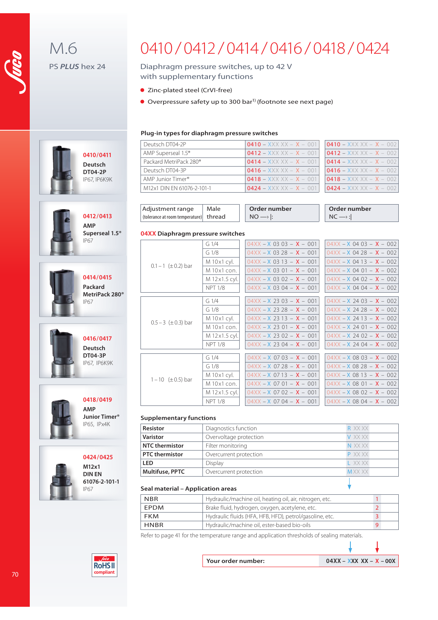M.6

PS **PLUS** hex 24

**0410/0411 Deutsch DT04-2P** IP67, IP6K9K

**0412 /0413 AMP**

**0414/0415 Packard MetriPack 280®**

**0416/0417 Deutsch DT04-3P** IP67, IP6K9K

**0418/0419 AMP Junior Timer®** IP65, IPx4K

**0424/0425 M12x1 DIN EN 61076-2-101-1** 

IP67

IP67

IP67

**Superseal 1.5®**

# 0410 / 0412 / 0414 / 0416 / 0418 / 0424

### Diaphragm pressure switches, up to 42 V with supplementary functions

- Zinc-plated steel (CrVI-free)
- Overpressure safety up to 300 bar<sup>1)</sup> (footnote see next page)

#### **Plug-in types for diaphragm pressure switches**

| Deutsch DT04-2P                    | $0410 - XXX XX - X - 001$  | $10410 - XXXXX - X - 002$ |
|------------------------------------|----------------------------|---------------------------|
| AMP Superseal 1.5 <sup>®</sup>     | $0412 - XXX XX - X - 001$  | $0412 - XXXXX - X - 002$  |
| Packard MetriPack 280 <sup>®</sup> | $10414 - XXX XX - X - 001$ | $10414 - XXXXX - X - 002$ |
| Deutsch DT04-3P                    | $0416 - XXXXX - X - 001$   | $0416 - XXXXX - X - 002$  |
| AMP Junior Timer®                  | $0418 - XXXXX - X - 001$   | $10418 - XXXXX - X - 002$ |
| M12x1 DIN EN 61076-2-101-1         | $0424 - XXXXX - X - 001$   | $10424 - XXXXX - X - 002$ |

| $0410 - XXX XX - X - 002$ |  |
|---------------------------|--|
| $0412 - XXX XX - X - 002$ |  |
| $0414 - XXX XX - X - 002$ |  |
| $0416 - XXX XX - X - 002$ |  |
| $0418 - XXX XX - X - 002$ |  |
| $0424 - XXX XX - X - 002$ |  |

| Adjustment range                       | Male | Order number   | Order number |
|----------------------------------------|------|----------------|--------------|
| (tolerance at room temperature) thread |      | $\overline{M}$ | N/C          |

#### **04XX Diaphragm pressure switches**

|                            | $G_1/4$          | $04XX - X$ 03 03 - $X - 001$ | $04XX - X$ 04 03 - $X - 002$ |
|----------------------------|------------------|------------------------------|------------------------------|
|                            | G <sub>1/8</sub> | $04XX - X$ 03 28 - $X - 001$ | $04XX - X$ 04 28 - $X - 002$ |
|                            | M 10x1 cyl.      | $04XX - X$ 03 13 - $X - 001$ | $04XX - X$ 04 13 - $X - 002$ |
| $0.1 - 1$ ( $\pm$ 0.2) bar | M 10x1 con.      | $04XX - X$ 03 01 - $X - 001$ | $04XX - X$ 04 01 - $X - 002$ |
|                            | M 12x1.5 cyl.    | $04XX - X$ 03 02 - $X - 001$ | $04XX - X$ 04 02 $- X - 002$ |
|                            | <b>NPT 1/8</b>   | $04XX - X$ 03 04 - $X - 001$ | $04XX - X$ 04 04 - $X - 002$ |
|                            |                  |                              |                              |
|                            | G <sub>1/4</sub> | $04XX - X$ 23 03 $- X - 001$ | $04XX - X$ 24 03 - $X - 002$ |
|                            | G <sub>1/8</sub> | $04XX - X$ 23 28 - $X - 001$ | $04XX - X$ 24 28 - $X - 002$ |
|                            | M 10x1 cyl.      | $04XX - X$ 23 13 - $X - 001$ | $04XX - X$ 24 13 - $X - 002$ |
| $0.5 - 3$ ( $\pm$ 0.3) bar | M 10x1 con.      | $04XX - X$ 23 01 - $X - 001$ | $04XX - X$ 24 01 - $X - 002$ |
|                            | M 12x1.5 cyl.    | $04XX - X$ 23 02 - $X - 001$ | $04XX - X$ 24 02 - $X - 002$ |
|                            | <b>NPT 1/8</b>   | $04XX - X$ 23 04 - $X - 001$ | $04XX - X$ 24 04 - $X - 002$ |
|                            |                  |                              |                              |
|                            | G <sub>1/4</sub> | $04XX - X$ 07 03 - $X - 001$ | $04XX - X$ 08 03 - $X - 002$ |
| $1 - 10$ ( $\pm$ 0.5) bar  | G <sub>1/8</sub> | $04XX - X$ 07 28 - $X - 001$ | $04XX - X$ 08 28 - $X - 002$ |
|                            | M 10x1 cyl.      | $04XX - X$ 07 13 - $X - 001$ | $04XX - X$ 08 13 - $X - 002$ |
|                            | M 10x1 con.      | $04XX - X$ 07 01 - $X - 001$ | $04XX - X$ 08 01 - $X - 002$ |
|                            | M 12x1.5 cyl.    | $04XX - X$ 07 02 - $X - 001$ | $04XX - X$ 08 02 - $X - 002$ |
|                            | <b>NPT 1/8</b>   | $04XX - X$ 07 04 - $X - 001$ | $04XX - X$ 08 04 - $X - 002$ |
|                            |                  |                              |                              |

#### **Supplementary functions**

| <b>Resistor</b>       | Diagnostics function   | R XX XX      |
|-----------------------|------------------------|--------------|
| <b>Varistor</b>       | Overvoltage protection | V XX XX      |
| NTC thermistor        | Filter monitoring      | N XX XX      |
| <b>PTC</b> thermistor | Overcurrent protection | P XX XX      |
| LED                   | Display                | I XXXX       |
| Multifuse, PPTC       | Overcurrent protection | <b>MXXXX</b> |

#### **Seal material – Application areas**

| <b>NBR</b>  | Hydraulic/machine oil, heating oil, air, nitrogen, etc. |  |
|-------------|---------------------------------------------------------|--|
| <b>FPDM</b> | Brake fluid, hydrogen, oxygen, acetylene, etc.          |  |
| FKM         | Hydraulic fluids (HFA, HFB, HFD), petrol/gasoline, etc. |  |
| <b>HNBR</b> | Hydraulic/machine oil, ester-based bio-oils             |  |

Refer to page 41 for the temperature range and application thresholds of sealing materials.



70

**Your order number: 04XX – XXX XX – X – 00X**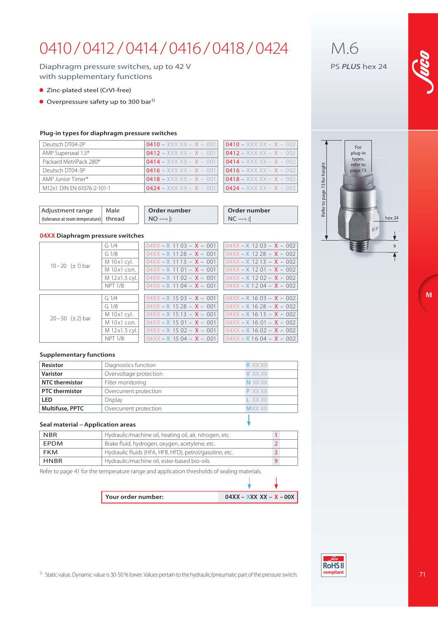# 0410 / 0412 / 0414 / 0416 / 0418 / 0424

### Diaphragm pressure switches, up to 42 V with supplementary functions

- Zinc-plated steel (CrVI-free)
- $\bullet$  Overpressure safety up to 300 bar<sup>1)</sup>

#### **Plug-in types for diaphragm pressure switches**

| Deutsch DT04-2P                    | $0410 - XXXXX - X - 001$  | $0410 - XXXXX - X - 002$   |
|------------------------------------|---------------------------|----------------------------|
| AMP Superseal 1.5 <sup>®</sup>     | $0412 - XXX XX - X - 001$ | $10412 - XXXXX - X - 002$  |
| Packard MetriPack 280 <sup>®</sup> | $0414 - XXXXX - X - 001$  | $10414 - XXXXX - X - 002$  |
| Deutsch DT04-3P                    | $0416 - XXXXX - X - 001$  | $10416 - XXX XX - X - 002$ |
| AMP Junior Timer <sup>®</sup>      | $0418 - XXXXX - X - 001$  | $10418 - XXXXX - X - 002$  |
| M12x1 DIN EN 61076-2-101-1         | $0424 - XXXXX - X - 001$  | $10424 - XXXXX - X - 002$  |

| $0410 - XXXXX - X - 002$  |
|---------------------------|
| $0412 - XXX XX - X - 002$ |
| $0414 - XXX XX - X - 002$ |
| $0416 - XXXXX - X - 002$  |
| $0418 - XXXXX - X - 002$  |
| $0424 - XXX XX - X - 002$ |
|                           |

| Adjustment range                       | Male | Order number | Order number |
|----------------------------------------|------|--------------|--------------|
| (tolerance at room temperature) thread |      |              | NC           |

#### **04XX Diaphragm pressure switches**

|                           | G1/4                   | $04XX - X$ 1103 - $X - 001$  | $04XX - X$ 12 03 - $X - 002$ |
|---------------------------|------------------------|------------------------------|------------------------------|
|                           | G1/8                   | $04XX - X$ 11 28 - $X - 001$ | $04XX - X$ 12 28 - $X - 002$ |
|                           | M 10x1 cyl.            | $04XX - X$ 11 13 - $X - 001$ | $04XX - X$ 12 13 - $X - 002$ |
| $10 - 20$ ( $\pm$ 1) bar  | $M$ 10 $\times$ 1 con. | $04XX - X$ 11 01 - $X - 001$ | $04XX - X$ 12 01 - $X - 002$ |
|                           | M 12 x 1.5 cyl.        | $04XX - X$ 11 02 - $X - 001$ | $04XX - X$ 12 02 - $X - 002$ |
|                           | <b>NPT 1/8</b>         | $04XX - X$ 1104 - $X - 001$  | $04XX - X 1204 - X - 002$    |
|                           |                        |                              |                              |
|                           | G1/4                   | $04XX - X$ 15 03 - $X - 001$ | $04XX - X$ 16 03 - $X - 002$ |
| $20 - 50$ ( $\pm 2$ ) bar | G1/8                   | $04XX - X$ 15 28 - $X - 001$ | $04XX - X$ 16 28 - $X - 002$ |
|                           | M 10 x 1 cyl.          | $04XX - X$ 15 13 - $X - 001$ | $04XX - X$ 16 13 - $X - 002$ |
|                           | M 10x1 con.            | $04XX - X$ 15 01 - $X - 001$ | $04XX - X$ 16 01 - $X - 002$ |
|                           | M 12 x 1.5 cyl.        | $04XX - X$ 15 02 - $X - 001$ | $04XX - X$ 16 02 - $X - 002$ |
|                           | <b>NPT 1/8</b>         | $04XX - X$ 15 04 - $X - 001$ | $04XX - X$ 16 04 - $X - 002$ |
|                           |                        |                              |                              |

#### **Supplementary functions**

| Resistor               | Diagnostics function   | R XX XX      |
|------------------------|------------------------|--------------|
| <b>Varistor</b>        | Overvoltage protection | V XX XX      |
| <b>NTC</b> thermistor  | Filter monitoring      | N XX XX      |
| <b>PTC</b> thermistor  | Overcurrent protection | P XX XX      |
| LED                    | Display                | I XXXX       |
| <b>Multifuse, PPTC</b> | Overcurrent protection | <b>MXXXX</b> |
|                        |                        |              |

#### **Seal material – Application areas**

| <b>NBR</b>  | Hydraulic/machine oil, heating oil, air, nitrogen, etc. |  |
|-------------|---------------------------------------------------------|--|
| <b>FPDM</b> | Brake fluid, hydrogen, oxygen, acetylene, etc.          |  |
| <b>FKM</b>  | Hydraulic fluids (HFA, HFB, HFD), petrol/gasoline, etc. |  |
| <b>HNBR</b> | Hydraulic/machine oil, ester-based bio-oils             |  |

Refer to page 41 for the temperature range and application thresholds of sealing materials.

| Your order number: | $04XX - XXX XX - X - 00X$ |
|--------------------|---------------------------|

J







1) Static value. Dynamic value is 30-50 % lower. Values pertain to the hydraulic/pneumatic part of the pressure switch.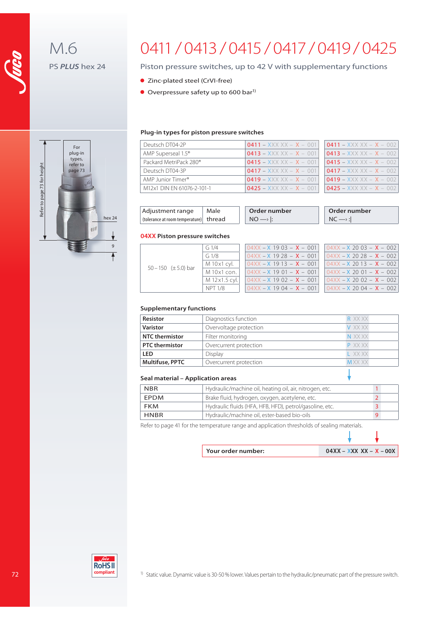

M.6 PS **PLUS** hex 24

# 0411 / 0413 / 0415 / 0417 / 0419 / 0425

### Piston pressure switches, up to 42 V with supplementary functions

- Zinc-plated steel (CrVI-free)
- $\bullet$  Overpressure safety up to 600 bar<sup>1)</sup>

#### **Plug-in types for piston pressure switches**

| Deutsch DT04-2P                    | $0411 - XXX XX - X - 001$ | $0411 - XXX XX - X - 002$ |
|------------------------------------|---------------------------|---------------------------|
| AMP Superseal 1.5 <sup>®</sup>     | $0413 - XXXXX - X - 001$  | $0413 - XXXXX - X - 002$  |
| Packard MetriPack 280 <sup>®</sup> | $0415 - XXXXX - X - 001$  | $0415 - XXXXX - X - 002$  |
| Deutsch DT04-3P                    | $0417 - XXX XX - X - 001$ | $0417 - XXXXX - X - 002$  |
| AMP Junior Timer <sup>®</sup>      | $0419 - XXX XX - X - 001$ | $0419 - XXXXX - X - 002$  |
| M12x1 DIN EN 61076-2-101-1         | $0425 - XXXXX - X - 001$  | $0425 - XXXXX - X - 002$  |

| $0411 - XXX XX - X - 002$ |
|---------------------------|
| $0413 - XXXXX - X - 002$  |
| $0415 - XXX XX - X - 002$ |
| $0417 - XXX XX - X - 002$ |
| $0419 - XXX XX - X - 002$ |
| $0425 - XXX XX - X - 002$ |

| Adjustment range                       | Male | Order number | Order number |
|----------------------------------------|------|--------------|--------------|
| (tolerance at room temperature) thread |      | NΟ           |              |

#### **04XX Piston pressure switches**

|                          | $G_1/4$       | $04XX - X$ 19 03 - $X - 001$       | $104XX - X 20 03 - X - 002$  |
|--------------------------|---------------|------------------------------------|------------------------------|
|                          | G1/8          | $104XX - X$ 19 28 - <b>X</b> - 001 | $104XX - X 20 28 - X - 002$  |
| 50 - 150 $(\pm 5.0)$ bar | M 10x1 cyl.   | $04XX - X$ 19 13 - $X - 001$       | $104XX - X 20 13 - X - 002$  |
|                          | M 10x1 con.   | $104XX - X$ 19 01 - $X - 001$      | $104XX - X 20 01 - X - 002$  |
|                          | M 12x1.5 cyl. | $04XX - X$ 19 02 - $X - 001$       | $104XX - X$ 2002 - $X - 002$ |
|                          | NPT 1/8       | $04XX - X$ 1904 - $X - 001$        | $104XX - X2004 - X - 002$    |
|                          |               |                                    |                              |

#### **Supplementary functions**

| Resistor               | Diagnostics function   | R XX XX      |
|------------------------|------------------------|--------------|
| <b>Varistor</b>        | Overvoltage protection | V XX XX      |
| <b>NTC</b> thermistor  | Filter monitoring      | N XX XX      |
| <b>PTC</b> thermistor  | Overcurrent protection | P XX XX      |
| <b>LED</b>             | <b>Display</b>         | I XXXX       |
| <b>Multifuse, PPTC</b> | Overcurrent protection | <b>MXXXX</b> |
|                        |                        |              |

#### **Seal material – Application areas**

| <b>NBR</b>  | Hydraulic/machine oil, heating oil, air, nitrogen, etc. |  |
|-------------|---------------------------------------------------------|--|
| <b>EPDM</b> | Brake fluid, hydrogen, oxygen, acetylene, etc.          |  |
| <b>FKM</b>  | Hydraulic fluids (HFA, HFB, HFD), petrol/gasoline, etc. |  |
| HNBR        | Hydraulic/machine oil, ester-based bio-oils             |  |

Refer to page 41 for the temperature range and application thresholds of sealing materials.

| Your order number: | $04XX - XXX XX - X - 00X$ |
|--------------------|---------------------------|